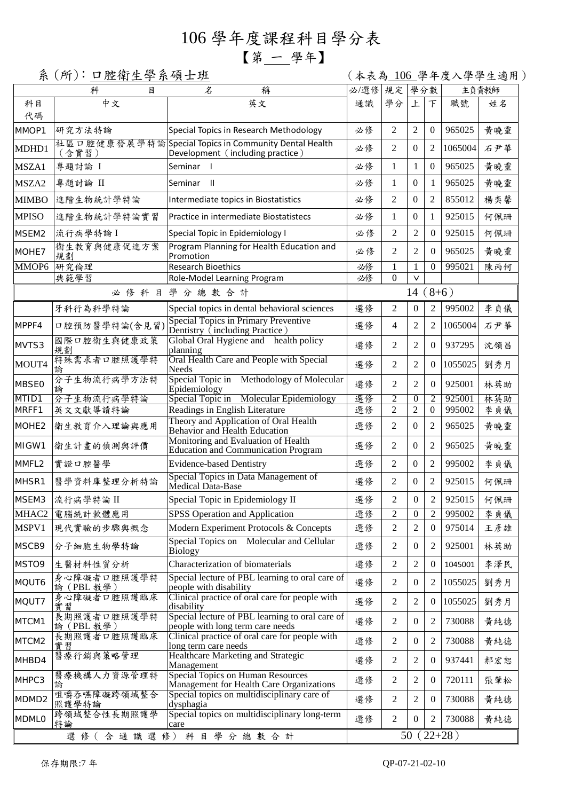## 106 學年度課程科目學分表

## 【第 一 學年】

系 (所): 口腔衛生學系碩士班 (本表為 106 學年度入學學生適用)

|                   | 科<br>目                    | 名<br>稱                                                                                   | 必/選修          | 規定             | 學分數              |                  |         | 主負責教師 |
|-------------------|---------------------------|------------------------------------------------------------------------------------------|---------------|----------------|------------------|------------------|---------|-------|
| 科目<br>代碼          | 中文                        | 英文                                                                                       | 通識            | 學分             | 上                | 下                | 職號      | 姓名    |
| MMOP1             | 研究方法特論                    | Special Topics in Research Methodology                                                   | 必修            | 2              | $\overline{2}$   | $\mathbf{0}$     | 965025  | 黄曉靈   |
| MDHD1             | (含實習)                     | 社區口腔健康發展學特論Special Topics in Community Dental Health<br>Development (including practice) | 必修            | $\overline{2}$ | $\Omega$         | 2                | 1065004 | 石尹華   |
| MSZA1             | 專題討論 I                    | Seminar I                                                                                | 必修            | 1              | 1                | $\overline{0}$   | 965025  | 黃曉靈   |
| MSZA2             | 專題討論 II                   | Seminar II                                                                               | 必修            | $\mathbf{1}$   | $\Omega$         | 1                | 965025  | 黄曉靈   |
| <b>MIMBO</b>      | 進階生物統計學特論                 | Intermediate topics in Biostatistics                                                     | 必修            | 2              | $\mathbf{0}$     | $\overline{2}$   | 855012  | 楊奕馨   |
| <b>MPISO</b>      | 進階生物統計學特論實習               | Practice in intermediate Biostatistecs                                                   | 必修            | 1              | $\mathbf{0}$     | 1                | 925015  | 何佩珊   |
| MSEM2             | 流行病學特論I                   | Special Topic in Epidemiology I                                                          | 必修            | 2              | $\overline{2}$   | $\overline{0}$   | 925015  | 何佩珊   |
| MOHE7             | 衛生教育與健康促進方案<br>規劃         | Program Planning for Health Education and<br>Promotion                                   | 必修            | 2              | 2                | 0                | 965025  | 黃曉靈   |
| MMOP6             | 研究倫理                      | <b>Research Bioethics</b>                                                                | 必修            | 1              | 1                | 0                | 995021  | 陳丙何   |
|                   | 典範學習                      | Role-Model Learning Program                                                              | 必修            | $\Omega$       | $\vee$           |                  |         |       |
| 必修科目學分總數合計        |                           |                                                                                          | $(8+6)$<br>14 |                |                  |                  |         |       |
|                   | 牙科行為科學特論                  | Special topics in dental behavioral sciences                                             | 選修            | 2              | $\boldsymbol{0}$ | $\overline{2}$   | 995002  | 李貞儀   |
| MPPF4             | 口腔預防醫學特論(含見習              | Special Topics in Primary Preventive<br>Dentistry (including Practice)                   | 選修            | $\overline{4}$ | $\overline{2}$   | 2                | 1065004 | 石尹華   |
| MVTS3             | 國際口腔衛生與健康政策<br>規劃         | Global Oral Hygiene and health policy<br>planning                                        | 選修            | 2              | 2                | 0                | 937295  | 沈領昌   |
| MOUT4             | 特殊需求者口腔照護學特<br>論          | Oral Health Care and People with Special<br><b>Needs</b>                                 | 選修            | $\overline{2}$ | 2                | 0                | 1055025 | 劉秀月   |
| <b>MBSE0</b>      | 分子生物流行病學方法特<br>論          | Special Topic in Methodology of Molecular<br>Epidemiology                                | 選修            | 2              | 2                | 0                | 925001  | 林英助   |
| MTID1             | 分子生物流行病學特論                | Molecular Epidemiology<br>Special Topic in                                               | 選修            | $\overline{2}$ | $\theta$         | 2                | 925001  | 林英助   |
| MRFF1             | 英文文獻導讀特論                  | Readings in English Literature                                                           | 選修            | $\overline{c}$ | $\overline{c}$   | $\boldsymbol{0}$ | 995002  | 李貞儀   |
| MOHE <sub>2</sub> | 衛生教育介入理論與應用               | Theory and Application of Oral Health<br>Behavior and Health Education                   | 選修            | 2              | $\Omega$         | 2                | 965025  | 黃曉靈   |
| MIGW1             | 衛生計畫的偵測與評價                | Monitoring and Evaluation of Health<br>Education and Communication Program               | 選修            | 2              | $\Omega$         | 2                | 965025  | 黄曉靈   |
| MMFL2             | 實證口腔醫學                    | <b>Evidence-based Dentistry</b>                                                          | 選修            | 2              | $\boldsymbol{0}$ | $\overline{2}$   | 995002  | 李貞儀   |
| MHSR1             | 醫學資料庫整理分析特論               | Special Topics in Data Management of<br>Medical Data-Base                                | 選修            | 2              | $\Omega$         | $\overline{2}$   | 925015  | 何佩珊   |
| MSEM3             | 流行病學特論II                  | Special Topic in Epidemiology II                                                         | 選修            | 2              | $\Omega$         | $\overline{2}$   | 925015  | 何佩珊   |
| MHAC <sub>2</sub> | 電腦統計軟體應用                  | <b>SPSS Operation and Application</b>                                                    | 選修            | $\overline{c}$ | $\boldsymbol{0}$ | 2                | 995002  | 李貞儀   |
| MSPV1             | 現代實驗的步驟與概念                | Modern Experiment Protocols & Concepts                                                   | 選修            | $\mathfrak{2}$ | 2                | 0                | 975014  | 王彦雄   |
| MSCB9             | 分子細胞生物學特論                 | Special Topics on Molecular and Cellular<br><b>Biology</b>                               | 選修            | 2              | $\theta$         | 2                | 925001  | 林英助   |
| MSTO9             | 生醫材料性質分析                  | Characterization of biomaterials                                                         | 選修            | $\mathfrak{2}$ | 2                | 0                | 1045001 | 李澤民   |
| MQUT6             | 身心障礙者口腔照護學特<br>論 (PBL 教學) | Special lecture of PBL learning to oral care of<br>people with disability                | 選修            | $\mathfrak{2}$ | $\overline{0}$   | 2                | 1055025 | 劉秀月   |
| MQUT7             | 身心障礙者口腔照護臨床<br>實習         | Clinical practice of oral care for people with<br>disability                             | 選修            | 2              | 2                | 0                | 1055025 | 劉秀月   |
| MTCM1             | 長期照護者口腔照護學特<br>論 (PBL 教學) | Special lecture of PBL learning to oral care of<br>people with long term care needs      | 選修            | 2              | 0                | 2                | 730088  | 黃純德   |
| MTCM2             | 長期照護者口腔照護臨床<br>實習         | Clinical practice of oral care for people with<br>long term care needs                   | 選修            | 2              | $\overline{0}$   | 2                | 730088  | 黃純德   |
| MHBD4             | 醫療行銷與策略管理                 | Healthcare Marketing and Strategic<br>Management                                         | 選修            | 2              | 2                | 0                | 937441  | 郝宏恕   |
| MHPC3             | 醫療機構人力資源管理特<br>論          | <b>Special Topics on Human Resources</b><br>Management for Health Care Organizations     | 選修            | $\mathfrak{2}$ | 2                | 0                | 720111  | 張肇松   |
| MDMD <sub>2</sub> | 咀嚼吞嚥障礙跨領域整合<br>照護學特論      | Special topics on multidisciplinary care of<br>dysphagia                                 | 選修            | $\overline{2}$ | 2                | 0                | 730088  | 黃純德   |
| <b>MDMLO</b>      | 跨領域整合性長期照護學<br>特論         | Special topics on multidisciplinary long-term<br>care<br>選修(含通識選修)科目學分總數合計               | 選修            | $\mathfrak{2}$ | 0                | 2                | 730088  | 黃純德   |
|                   | $22+28$ )<br>50           |                                                                                          |               |                |                  |                  |         |       |